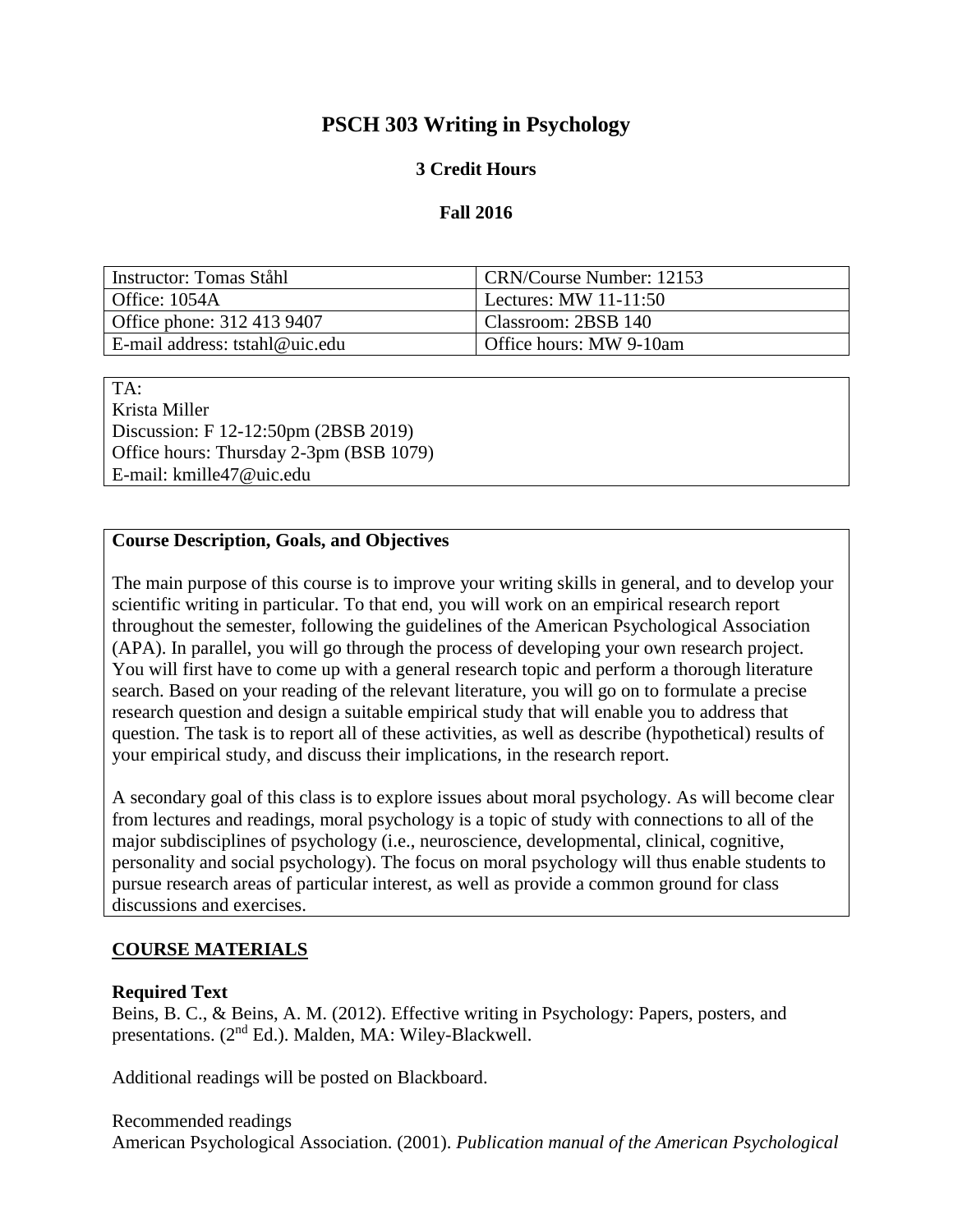# **PSCH 303 Writing in Psychology**

## **3 Credit Hours**

### **Fall 2016**

| Instructor: Tomas Ståhl        | CRN/Course Number: 12153 |
|--------------------------------|--------------------------|
| Office: 1054A                  | Lectures: MW $11-11:50$  |
| Office phone: 312 413 9407     | Classroom: 2BSB 140      |
| E-mail address: tstahl@uic.edu | Office hours: MW 9-10am  |

TA: Krista Miller Discussion: F 12-12:50pm (2BSB 2019) Office hours: Thursday 2-3pm (BSB 1079) E-mail: kmille47@uic.edu

#### **Course Description, Goals, and Objectives**

The main purpose of this course is to improve your writing skills in general, and to develop your scientific writing in particular. To that end, you will work on an empirical research report throughout the semester, following the guidelines of the American Psychological Association (APA). In parallel, you will go through the process of developing your own research project. You will first have to come up with a general research topic and perform a thorough literature search. Based on your reading of the relevant literature, you will go on to formulate a precise research question and design a suitable empirical study that will enable you to address that question. The task is to report all of these activities, as well as describe (hypothetical) results of your empirical study, and discuss their implications, in the research report.

A secondary goal of this class is to explore issues about moral psychology. As will become clear from lectures and readings, moral psychology is a topic of study with connections to all of the major subdisciplines of psychology (i.e., neuroscience, developmental, clinical, cognitive, personality and social psychology). The focus on moral psychology will thus enable students to pursue research areas of particular interest, as well as provide a common ground for class discussions and exercises.

## **COURSE MATERIALS**

#### **Required Text**

Beins, B. C., & Beins, A. M. (2012). Effective writing in Psychology: Papers, posters, and presentations. (2<sup>nd</sup> Ed.). Malden, MA: Wiley-Blackwell.

Additional readings will be posted on Blackboard.

#### Recommended readings American Psychological Association. (2001). *Publication manual of the American Psychological*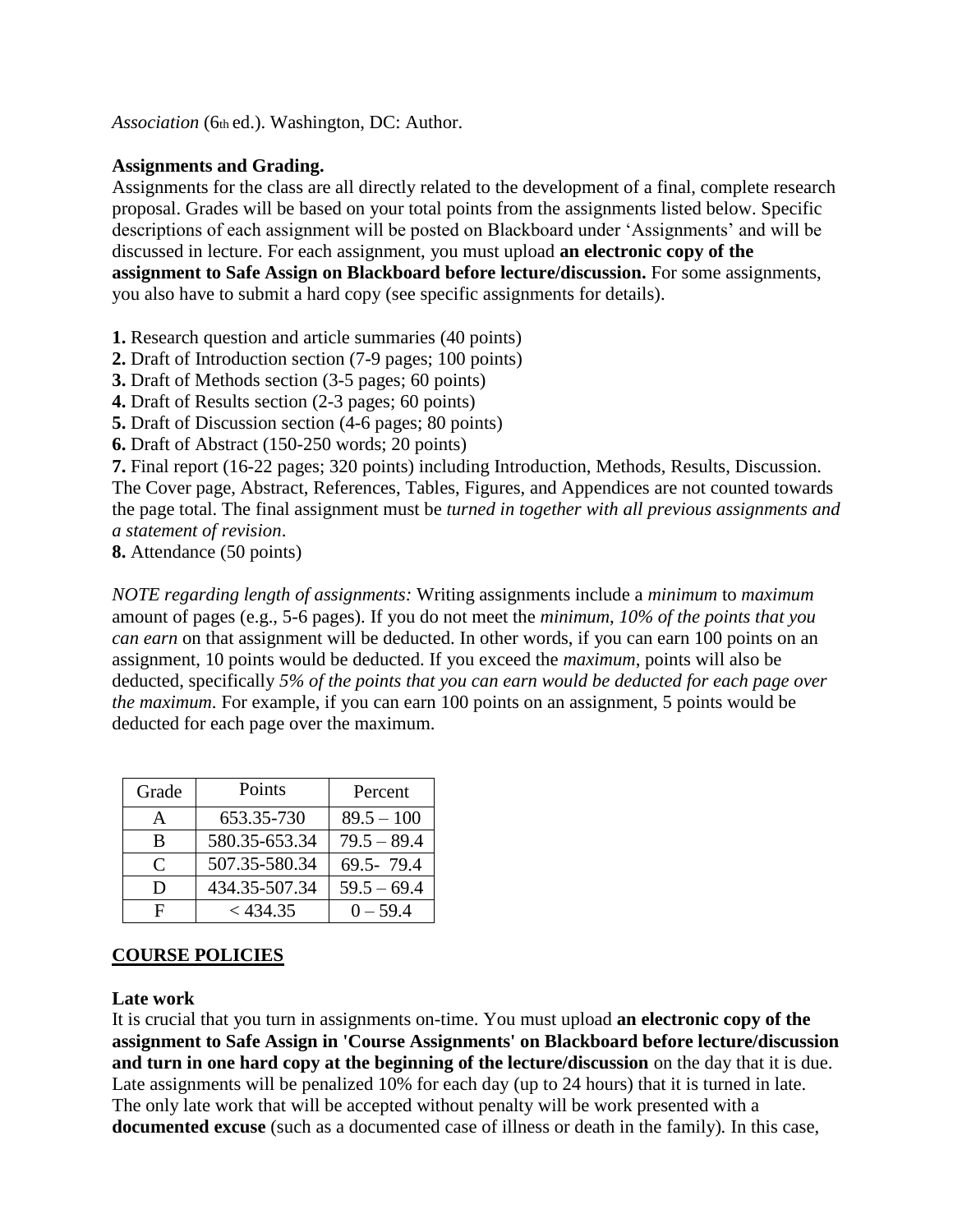*Association* (6th ed.). Washington, DC: Author.

### **Assignments and Grading.**

Assignments for the class are all directly related to the development of a final, complete research proposal. Grades will be based on your total points from the assignments listed below. Specific descriptions of each assignment will be posted on Blackboard under 'Assignments' and will be discussed in lecture. For each assignment, you must upload **an electronic copy of the assignment to Safe Assign on Blackboard before lecture/discussion.** For some assignments, you also have to submit a hard copy (see specific assignments for details).

**1.** Research question and article summaries (40 points)

**2.** Draft of Introduction section (7-9 pages; 100 points)

**3.** Draft of Methods section (3-5 pages; 60 points)

**4.** Draft of Results section (2-3 pages; 60 points)

**5.** Draft of Discussion section (4-6 pages; 80 points)

**6.** Draft of Abstract (150-250 words; 20 points)

**7.** Final report (16-22 pages; 320 points) including Introduction, Methods, Results, Discussion. The Cover page, Abstract, References, Tables, Figures, and Appendices are not counted towards the page total. The final assignment must be *turned in together with all previous assignments and a statement of revision*.

**8.** Attendance (50 points)

*NOTE regarding length of assignments:* Writing assignments include a *minimum* to *maximum*  amount of pages (e.g., 5-6 pages). If you do not meet the *minimum*, *10% of the points that you can earn* on that assignment will be deducted. In other words, if you can earn 100 points on an assignment, 10 points would be deducted. If you exceed the *maximum*, points will also be deducted, specifically *5% of the points that you can earn would be deducted for each page over the maximum*. For example, if you can earn 100 points on an assignment, 5 points would be deducted for each page over the maximum.

| Grade                       | Points        | Percent       |
|-----------------------------|---------------|---------------|
| A                           | 653.35-730    | $89.5 - 100$  |
| B                           | 580.35-653.34 | $79.5 - 89.4$ |
| $\mathcal{C}_{\mathcal{C}}$ | 507.35-580.34 | 69.5-79.4     |
| D                           | 434.35-507.34 | $59.5 - 69.4$ |
| F                           | $<$ 434.35    | $0 - 59.4$    |

## **COURSE POLICIES**

#### **Late work**

It is crucial that you turn in assignments on-time. You must upload **an electronic copy of the assignment to Safe Assign in 'Course Assignments' on Blackboard before lecture/discussion and turn in one hard copy at the beginning of the lecture/discussion** on the day that it is due. Late assignments will be penalized 10% for each day (up to 24 hours) that it is turned in late. The only late work that will be accepted without penalty will be work presented with a **documented excuse** (such as a documented case of illness or death in the family)*.* In this case,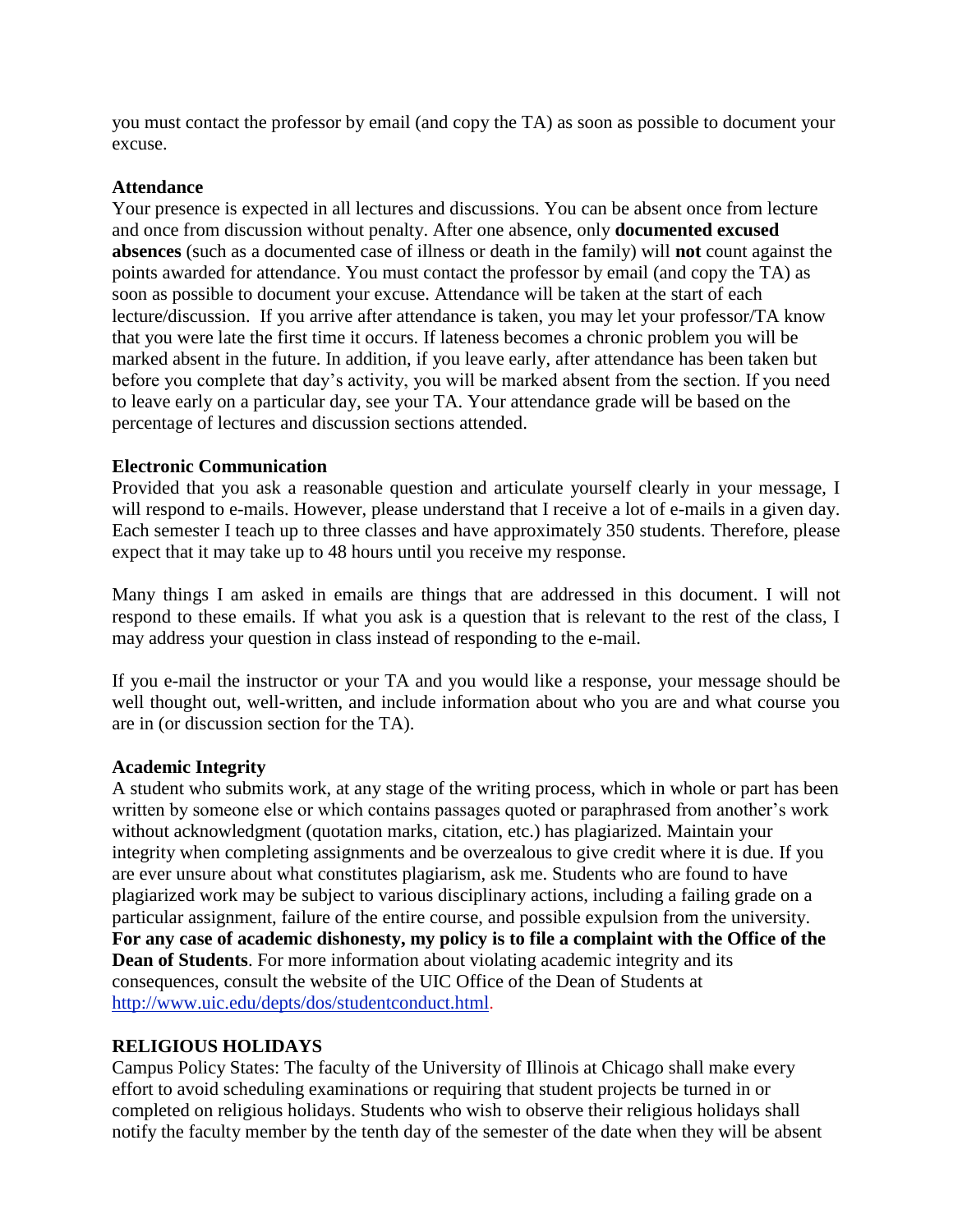you must contact the professor by email (and copy the TA) as soon as possible to document your excuse.

#### **Attendance**

Your presence is expected in all lectures and discussions. You can be absent once from lecture and once from discussion without penalty. After one absence, only **documented excused absences** (such as a documented case of illness or death in the family) will **not** count against the points awarded for attendance. You must contact the professor by email (and copy the TA) as soon as possible to document your excuse. Attendance will be taken at the start of each lecture/discussion. If you arrive after attendance is taken, you may let your professor/TA know that you were late the first time it occurs. If lateness becomes a chronic problem you will be marked absent in the future. In addition, if you leave early, after attendance has been taken but before you complete that day's activity, you will be marked absent from the section. If you need to leave early on a particular day, see your TA. Your attendance grade will be based on the percentage of lectures and discussion sections attended.

#### **Electronic Communication**

Provided that you ask a reasonable question and articulate yourself clearly in your message, I will respond to e-mails. However, please understand that I receive a lot of e-mails in a given day. Each semester I teach up to three classes and have approximately 350 students. Therefore, please expect that it may take up to 48 hours until you receive my response.

Many things I am asked in emails are things that are addressed in this document. I will not respond to these emails. If what you ask is a question that is relevant to the rest of the class, I may address your question in class instead of responding to the e-mail.

If you e-mail the instructor or your TA and you would like a response, your message should be well thought out, well-written, and include information about who you are and what course you are in (or discussion section for the TA).

#### **Academic Integrity**

A student who submits work, at any stage of the writing process, which in whole or part has been written by someone else or which contains passages quoted or paraphrased from another's work without acknowledgment (quotation marks, citation, etc.) has plagiarized. Maintain your integrity when completing assignments and be overzealous to give credit where it is due. If you are ever unsure about what constitutes plagiarism, ask me. Students who are found to have plagiarized work may be subject to various disciplinary actions, including a failing grade on a particular assignment, failure of the entire course, and possible expulsion from the university. **For any case of academic dishonesty, my policy is to file a complaint with the Office of the Dean of Students**. For more information about violating academic integrity and its consequences, consult the website of the UIC Office of the Dean of Students at [http://www.uic.edu/depts/dos/studentconduct.html.](http://www.uic.edu/depts/dos/studentconduct.html)

#### **RELIGIOUS HOLIDAYS**

Campus Policy States: The faculty of the University of Illinois at Chicago shall make every effort to avoid scheduling examinations or requiring that student projects be turned in or completed on religious holidays. Students who wish to observe their religious holidays shall notify the faculty member by the tenth day of the semester of the date when they will be absent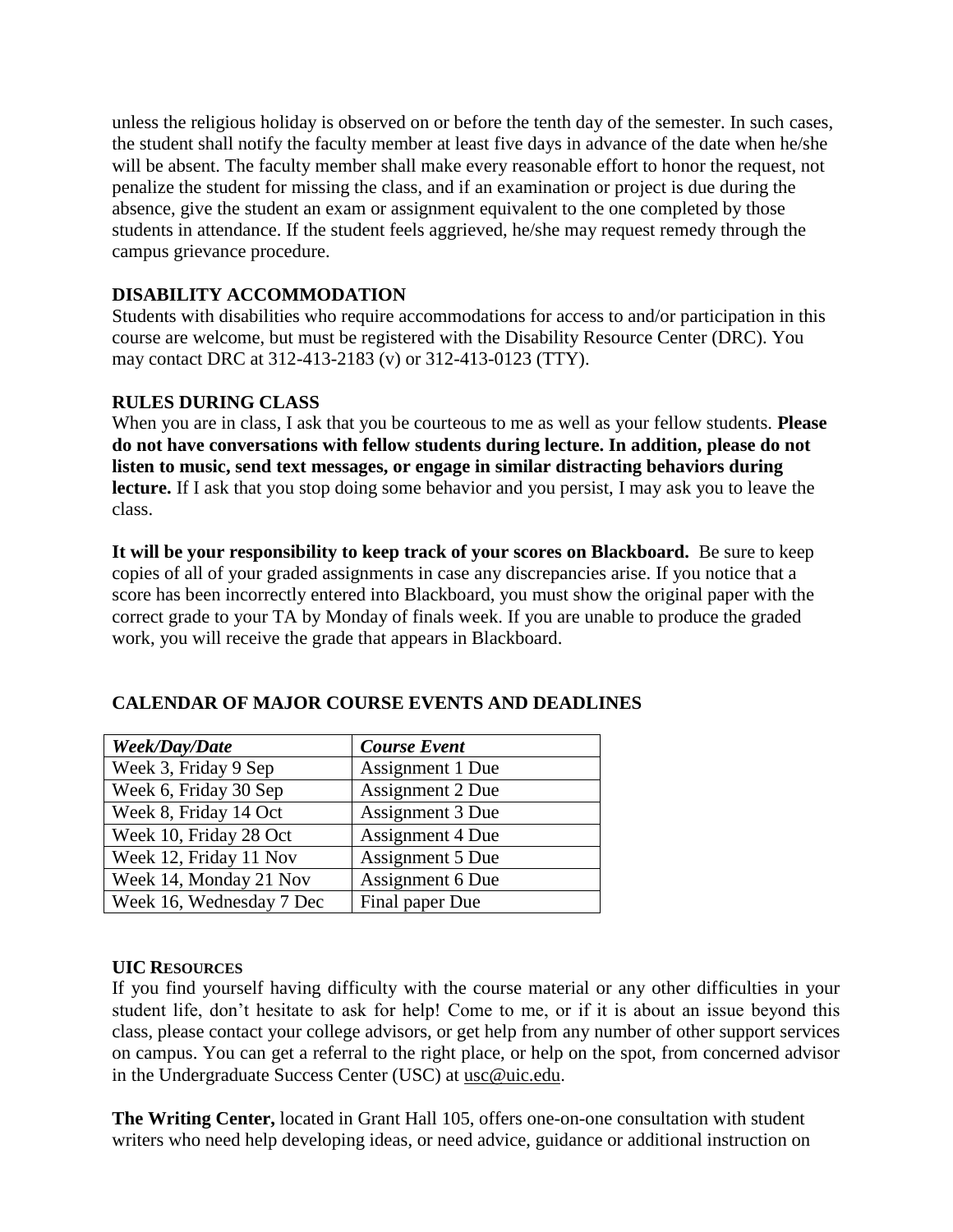unless the religious holiday is observed on or before the tenth day of the semester. In such cases, the student shall notify the faculty member at least five days in advance of the date when he/she will be absent. The faculty member shall make every reasonable effort to honor the request, not penalize the student for missing the class, and if an examination or project is due during the absence, give the student an exam or assignment equivalent to the one completed by those students in attendance. If the student feels aggrieved, he/she may request remedy through the campus grievance procedure.

## **DISABILITY ACCOMMODATION**

Students with disabilities who require accommodations for access to and/or participation in this course are welcome, but must be registered with the Disability Resource Center (DRC). You may contact DRC at 312-413-2183 (v) or 312-413-0123 (TTY).

## **RULES DURING CLASS**

When you are in class, I ask that you be courteous to me as well as your fellow students. **Please do not have conversations with fellow students during lecture. In addition, please do not listen to music, send text messages, or engage in similar distracting behaviors during lecture.** If I ask that you stop doing some behavior and you persist, I may ask you to leave the class.

**It will be your responsibility to keep track of your scores on Blackboard.** Be sure to keep copies of all of your graded assignments in case any discrepancies arise. If you notice that a score has been incorrectly entered into Blackboard, you must show the original paper with the correct grade to your TA by Monday of finals week. If you are unable to produce the graded work, you will receive the grade that appears in Blackboard.

| Week/Day/Date            | <b>Course Event</b>     |
|--------------------------|-------------------------|
| Week 3, Friday 9 Sep     | Assignment 1 Due        |
| Week 6, Friday 30 Sep    | Assignment 2 Due        |
| Week 8, Friday 14 Oct    | Assignment 3 Due        |
| Week 10, Friday 28 Oct   | <b>Assignment 4 Due</b> |
| Week 12, Friday 11 Nov   | Assignment 5 Due        |
| Week 14, Monday 21 Nov   | Assignment 6 Due        |
| Week 16, Wednesday 7 Dec | Final paper Due         |

## **CALENDAR OF MAJOR COURSE EVENTS AND DEADLINES**

## **UIC RESOURCES**

If you find yourself having difficulty with the course material or any other difficulties in your student life, don't hesitate to ask for help! Come to me, or if it is about an issue beyond this class, please contact your college advisors, or get help from any number of other support services on campus. You can get a referral to the right place, or help on the spot, from concerned advisor in the Undergraduate Success Center (USC) at [usc@uic.edu](mailto:usc@uic.edu).

**The Writing Center,** located in Grant Hall 105, offers one-on-one consultation with student writers who need help developing ideas, or need advice, guidance or additional instruction on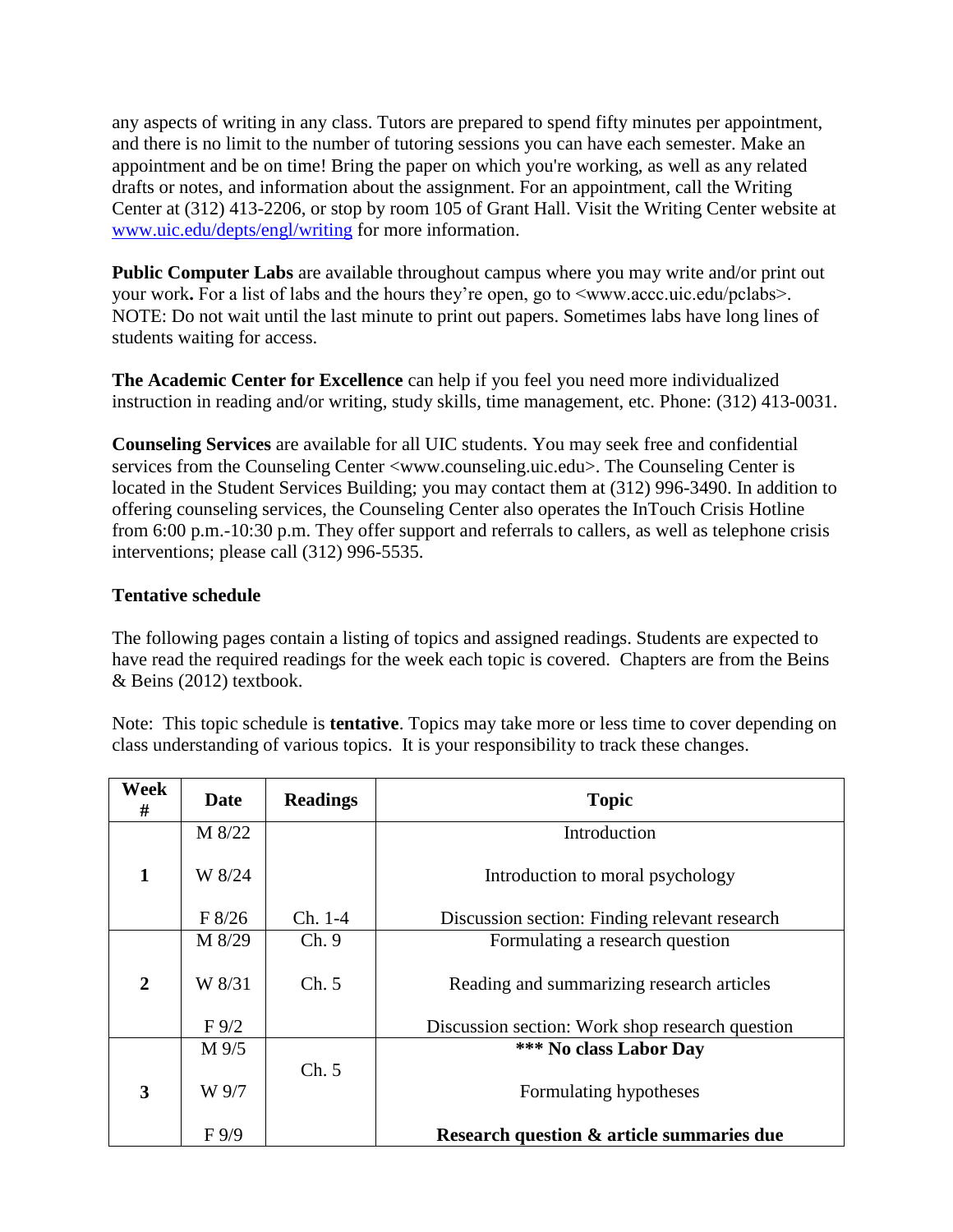any aspects of writing in any class. Tutors are prepared to spend fifty minutes per appointment, and there is no limit to the number of tutoring sessions you can have each semester. Make an appointment and be on time! Bring the paper on which you're working, as well as any related drafts or notes, and information about the assignment. For an appointment, call the Writing Center at (312) 413-2206, or stop by room 105 of Grant Hall. Visit the Writing Center website at [www.uic.edu/depts/engl/writing](http://www.uic.edu/depts/engl/writing) for more information.

**Public Computer Labs** are available throughout campus where you may write and/or print out your work. For a list of labs and the hours they're open, go to  $\leq$ www.accc.uic.edu/pclabs>. NOTE: Do not wait until the last minute to print out papers. Sometimes labs have long lines of students waiting for access.

**The Academic Center for Excellence** can help if you feel you need more individualized instruction in reading and/or writing, study skills, time management, etc. Phone: (312) 413-0031.

**Counseling Services** are available for all UIC students. You may seek free and confidential services from the Counseling Center <www.counseling.uic.edu>. The Counseling Center is located in the Student Services Building; you may contact them at (312) 996-3490. In addition to offering counseling services, the Counseling Center also operates the InTouch Crisis Hotline from 6:00 p.m.-10:30 p.m. They offer support and referrals to callers, as well as telephone crisis interventions; please call (312) 996-5535.

## **Tentative schedule**

The following pages contain a listing of topics and assigned readings. Students are expected to have read the required readings for the week each topic is covered. Chapters are from the Beins & Beins (2012) textbook.

Note: This topic schedule is **tentative**. Topics may take more or less time to cover depending on class understanding of various topics. It is your responsibility to track these changes.

| Week<br>#    | Date           | <b>Readings</b> | <b>Topic</b>                                    |
|--------------|----------------|-----------------|-------------------------------------------------|
|              | M 8/22         |                 | Introduction                                    |
| $\mathbf{1}$ | W 8/24         |                 | Introduction to moral psychology                |
|              | F 8/26         | $Ch. 1-4$       | Discussion section: Finding relevant research   |
|              | M 8/29         | Ch.9            | Formulating a research question                 |
| 2            | W 8/31         | Ch. 5           | Reading and summarizing research articles       |
|              | $F\frac{9}{2}$ |                 | Discussion section: Work shop research question |
|              | $M\frac{9}{5}$ |                 | *** No class Labor Day                          |
| 3            | W 9/7          | Ch. 5           | Formulating hypotheses                          |
|              | F9/9           |                 | Research question & article summaries due       |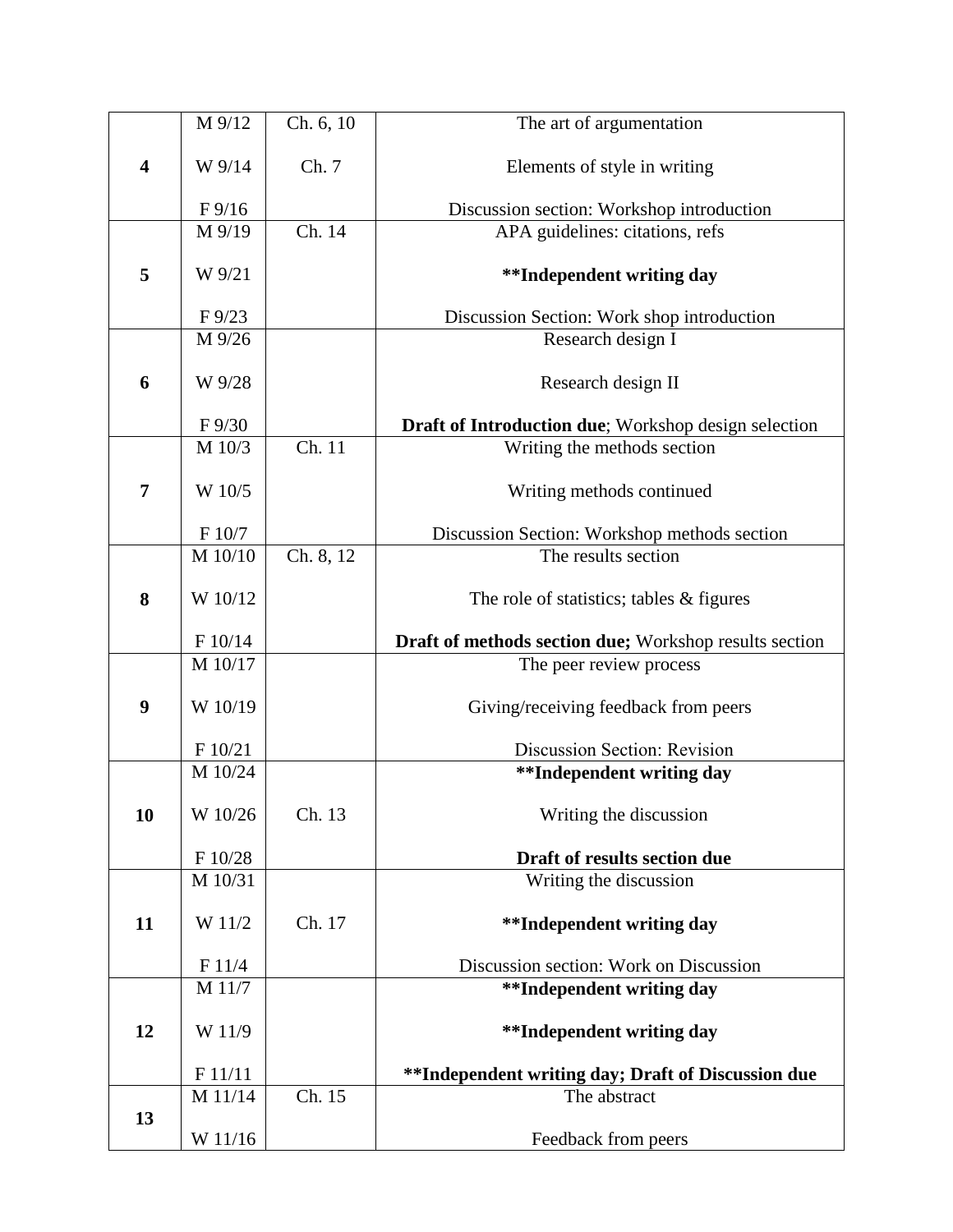|                         | M 9/12                    | Ch. 6, 10                   | The art of argumentation                               |
|-------------------------|---------------------------|-----------------------------|--------------------------------------------------------|
|                         |                           |                             |                                                        |
| $\overline{\mathbf{4}}$ | W 9/14                    | Ch. 7                       | Elements of style in writing                           |
|                         |                           |                             |                                                        |
|                         | $F\frac{9}{16}$           |                             | Discussion section: Workshop introduction              |
|                         | M 9/19                    | $\overline{\text{Ch}}$ . 14 | APA guidelines: citations, refs                        |
|                         |                           |                             |                                                        |
| 5                       | W 9/21                    |                             | <b>**Independent writing day</b>                       |
|                         |                           |                             |                                                        |
|                         | $F\frac{9}{23}$<br>M 9/26 |                             | Discussion Section: Work shop introduction             |
|                         |                           |                             | Research design I                                      |
| 6                       | W 9/28                    |                             | Research design II                                     |
|                         |                           |                             |                                                        |
|                         | F 9/30                    |                             | Draft of Introduction due; Workshop design selection   |
|                         | M 10/3                    | $\overline{Ch. 11}$         | Writing the methods section                            |
|                         |                           |                             |                                                        |
| 7                       | W 10/5                    |                             | Writing methods continued                              |
|                         |                           |                             |                                                        |
|                         | F 10/7                    |                             | Discussion Section: Workshop methods section           |
|                         | M 10/10                   | Ch. 8, 12                   | The results section                                    |
|                         |                           |                             |                                                        |
| 8                       | W 10/12                   |                             | The role of statistics; tables $\&$ figures            |
|                         |                           |                             |                                                        |
|                         | F 10/14                   |                             | Draft of methods section due; Workshop results section |
|                         | M 10/17                   |                             | The peer review process                                |
| 9                       | W 10/19                   |                             | Giving/receiving feedback from peers                   |
|                         |                           |                             |                                                        |
|                         | F 10/21                   |                             | Discussion Section: Revision                           |
|                         | M 10/24                   |                             | **Independent writing day                              |
|                         |                           |                             |                                                        |
| 10                      | W 10/26                   | Ch. 13                      | Writing the discussion                                 |
|                         |                           |                             |                                                        |
|                         | F 10/28                   |                             | Draft of results section due                           |
|                         | M 10/31                   |                             | Writing the discussion                                 |
|                         |                           |                             |                                                        |
| 11                      | W 11/2                    | Ch. 17                      | <b>**Independent writing day</b>                       |
|                         | F 11/4                    |                             | Discussion section: Work on Discussion                 |
|                         | M 11/7                    |                             | <b>**Independent writing day</b>                       |
|                         |                           |                             |                                                        |
| 12                      | W 11/9                    |                             | <b>**Independent writing day</b>                       |
|                         |                           |                             |                                                        |
|                         | F 11/11                   |                             | **Independent writing day; Draft of Discussion due     |
|                         | M 11/14                   | Ch. 15                      | The abstract                                           |
| 13                      |                           |                             |                                                        |
|                         | W 11/16                   |                             | Feedback from peers                                    |